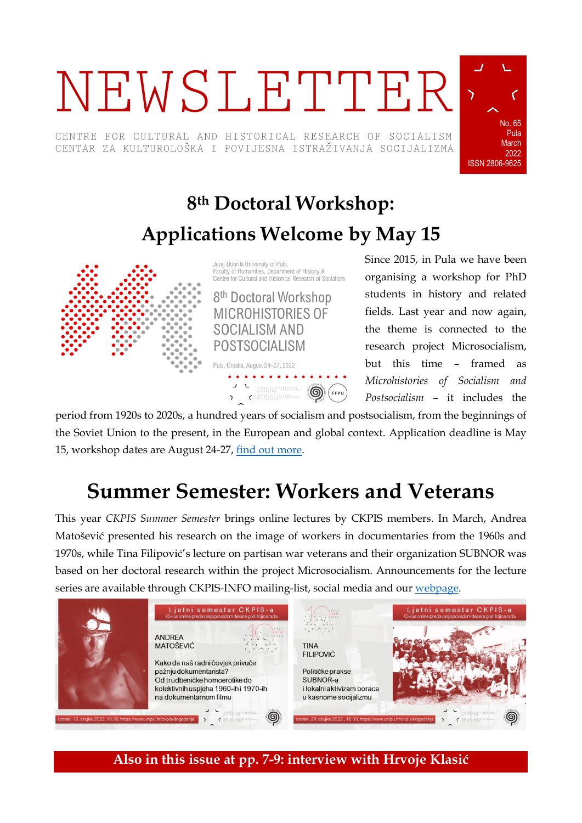# NEWSLETTER

CENTRE FOR CULTURAL AND HISTORICAL RESEARCH OF SOCIALISM CENTAR ZA KULTUROLOŠKA I POVIJESNA ISTRAŽIVANJA SOCIJALIZMA



## **8 th Doctoral Workshop: Applications Welcome by May 15**



Juraj Dobrila University of Pula, Faculty of Humanities, Department of History & Centre for Cultural and Historical Research of Socialism 8<sup>th</sup> Doctoral Workshop **MICROHISTORIES OF SOCIALISM AND POSTSOCIALISM** 



Since 2015, in Pula we have been organising a workshop for PhD students in history and related fields. Last year and now again, the theme is connected to the research project Microsocialism, but this time – framed as *Microhistories of Socialism and Postsocialism* – it includes the

period from 1920s to 2020s, a hundred years of socialism and postsocialism, from the beginnings of the Soviet Union to the present, in the European and global context. Application deadline is May 15, workshop dates are August 24-27, [find out more.](https://www.unipu.hr/ckpis/en/doctoral_workshop/2022)

## **Summer Semester: Workers and Veterans**

This year *CKPIS Summer Semester* brings online lectures by CKPIS members. In March, Andrea Matošević presented his research on the image of workers in documentaries from the 1960s and 1970s, while Tina Filipović's lecture on partisan war veterans and their organization SUBNOR was based on her doctoral research within the project Microsocialism. Announcements for the lecture series are available through CKPIS-INFO mailing-list, social media and our [webpage.](https://www.unipu.hr/ckpis/dogadanja)



**Also in this issue at pp. 7-9: interview with Hrvoje Klasić**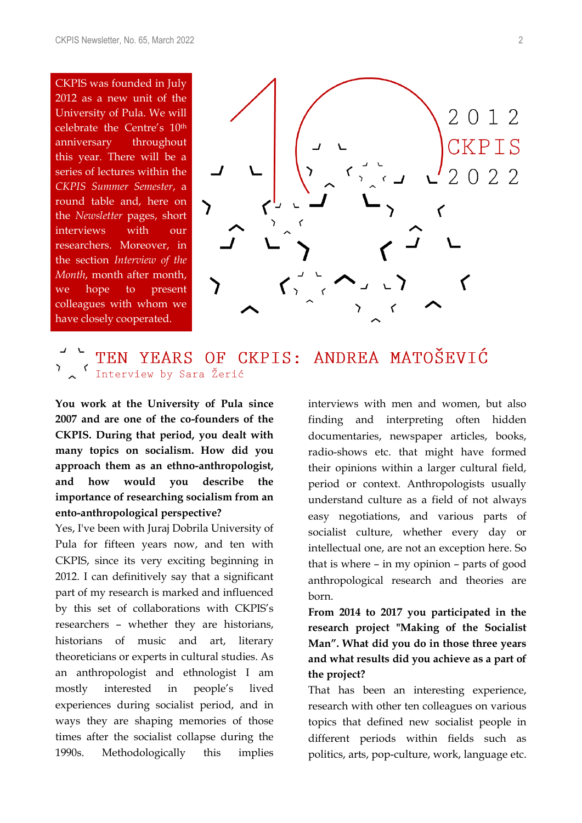CKPIS was founded in July 2012 as a new unit of the University of Pula. We will celebrate the Centre's 10th anniversary throughout this year. There will be a series of lectures within the *CKPIS Summer Semester*, a round table and, here on the *Newsletter* pages, short interviews with our researchers. Moreover, in the section *Interview of the Month*, month after month, we hope to present colleagues with whom we have closely cooperated.



## TEN YEARS OF CKPIS: ANDREA MATOŠEVIĆ Interview by Sara Žerić

**You work at the University of Pula since 2007 and are one of the co-founders of the CKPIS. During that period, you dealt with many topics on socialism. How did you approach them as an ethno-anthropologist, and how would you describe the importance of researching socialism from an ento-anthropological perspective?**

Yes, I've been with Juraj Dobrila University of Pula for fifteen years now, and ten with CKPIS, since its very exciting beginning in 2012. I can definitively say that a significant part of my research is marked and influenced by this set of collaborations with CKPIS's researchers – whether they are historians, historians of music and art, literary theoreticians or experts in cultural studies. As an anthropologist and ethnologist I am mostly interested in people's lived experiences during socialist period, and in ways they are shaping memories of those times after the socialist collapse during the 1990s. Methodologically this implies interviews with men and women, but also finding and interpreting often hidden documentaries, newspaper articles, books, radio-shows etc. that might have formed their opinions within a larger cultural field, period or context. Anthropologists usually understand culture as a field of not always easy negotiations, and various parts of socialist culture, whether every day or intellectual one, are not an exception here. So that is where – in my opinion – parts of good anthropological research and theories are born.

**From 2014 to 2017 you participated in the research project "Making of the Socialist Man". What did you do in those three years and what results did you achieve as a part of the project?**

That has been an interesting experience, research with other ten colleagues on various topics that defined new socialist people in different periods within fields such as politics, arts, pop-culture, work, language etc.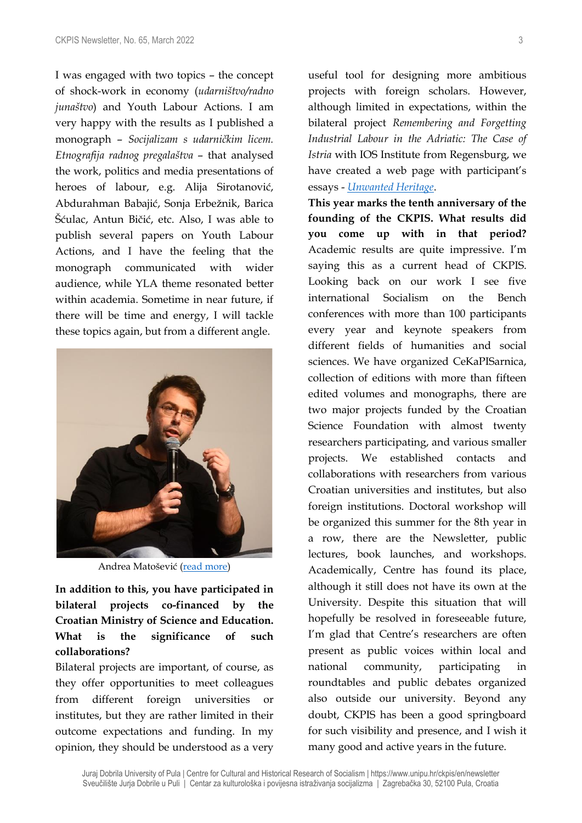I was engaged with two topics – the concept of shock-work in economy (*udarništvo/radno junaštvo*) and Youth Labour Actions. I am very happy with the results as I published a monograph – *Socijalizam s udarničkim licem. Etnografija radnog pregalaštva* – that analysed the work, politics and media presentations of heroes of labour, e.g. Alija Sirotanović, Abdurahman Babajić, Sonja Erbežnik, Barica Šćulac, Antun Bičić, etc. Also, I was able to publish several papers on Youth Labour Actions, and I have the feeling that the monograph communicated with wider audience, while YLA theme resonated better within academia. Sometime in near future, if there will be time and energy, I will tackle these topics again, but from a different angle.



Andrea Matošević ([read more\)](https://ffpu.unipu.hr/ffpu/andrea.matosevic)

**In addition to this, you have participated in bilateral projects co-financed by the Croatian Ministry of Science and Education. What is the significance of such collaborations?**

Bilateral projects are important, of course, as they offer opportunities to meet colleagues from different foreign universities or institutes, but they are rather limited in their outcome expectations and funding. In my opinion, they should be understood as a very useful tool for designing more ambitious projects with foreign scholars. However, although limited in expectations, within the bilateral project *Remembering and Forgetting Industrial Labour in the Adriatic: The Case of Istria* with IOS Institute from Regensburg, we have created a web page with participant's essays - *[Unwanted Heritage](https://www.istria.ios-regensburg.de/)*.

**This year marks the tenth anniversary of the founding of the CKPIS. What results did you come up with in that period?**  Academic results are quite impressive. I'm saying this as a current head of CKPIS. Looking back on our work I see five international Socialism on the Bench conferences with more than 100 participants every year and keynote speakers from different fields of humanities and social sciences. We have organized CeKaPISarnica, collection of editions with more than fifteen edited volumes and monographs, there are two major projects funded by the Croatian Science Foundation with almost twenty researchers participating, and various smaller projects. We established contacts and collaborations with researchers from various Croatian universities and institutes, but also foreign institutions. Doctoral workshop will be organized this summer for the 8th year in a row, there are the Newsletter, public lectures, book launches, and workshops. Academically, Centre has found its place, although it still does not have its own at the University. Despite this situation that will hopefully be resolved in foreseeable future, I'm glad that Centre's researchers are often present as public voices within local and national community, participating in roundtables and public debates organized also outside our university. Beyond any doubt, CKPIS has been a good springboard for such visibility and presence, and I wish it many good and active years in the future.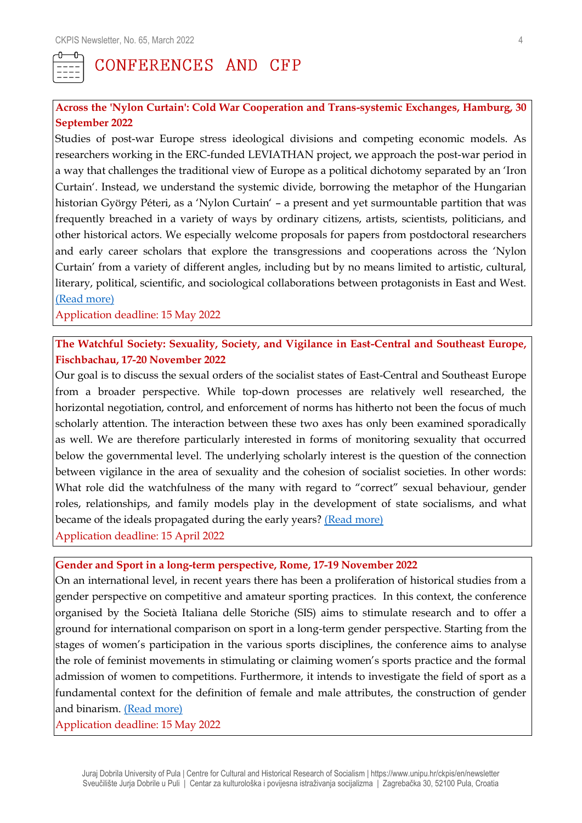

## CONFERENCES AND CFP

#### **Across the 'Nylon Curtain': Cold War Cooperation and Trans-systemic Exchanges, Hamburg, 30 September 2022**

Studies of post-war Europe stress ideological divisions and competing economic models. As researchers working in the ERC-funded LEVIATHAN project, we approach the post-war period in a way that challenges the traditional view of Europe as a political dichotomy separated by an 'Iron Curtain'. Instead, we understand the systemic divide, borrowing the metaphor of the Hungarian historian György Péteri, as a 'Nylon Curtain' – a present and yet surmountable partition that was frequently breached in a variety of ways by ordinary citizens, artists, scientists, politicians, and other historical actors. We especially welcome proposals for papers from postdoctoral researchers and early career scholars that explore the transgressions and cooperations across the 'Nylon Curtain' from a variety of different angles, including but by no means limited to artistic, cultural, literary, political, scientific, and sociological collaborations between protagonists in East and West. [\(Read more\)](https://www.hsozkult.de/event/id/event-116343)

Application deadline: 15 May 2022

### **The Watchful Society: Sexuality, Society, and Vigilance in East-Central and Southeast Europe, Fischbachau, 17-20 November 2022**

Our goal is to discuss the sexual orders of the socialist states of East-Central and Southeast Europe from a broader perspective. While top-down processes are relatively well researched, the horizontal negotiation, control, and enforcement of norms has hitherto not been the focus of much scholarly attention. The interaction between these two axes has only been examined sporadically as well. We are therefore particularly interested in forms of monitoring sexuality that occurred below the governmental level. The underlying scholarly interest is the question of the connection between vigilance in the area of sexuality and the cohesion of socialist societies. In other words: What role did the watchfulness of the many with regard to "correct" sexual behaviour, gender roles, relationships, and family models play in the development of state socialisms, and what became of the ideals propagated during the early years? [\(Read more\)](https://www.hsozkult.de/event/id/event-116536) Application deadline: 15 April 2022

#### **Gender and Sport in a long-term perspective, Rome, 17-19 November 2022**

On an international level, in recent years there has been a proliferation of historical studies from a gender perspective on competitive and amateur sporting practices. In this context, the conference organised by the Società Italiana delle Storiche (SIS) aims to stimulate research and to offer a ground for international comparison on sport in a long-term gender perspective. Starting from the stages of women's participation in the various sports disciplines, the conference aims to analyse the role of feminist movements in stimulating or claiming women's sports practice and the formal admission of women to competitions. Furthermore, it intends to investigate the field of sport as a fundamental context for the definition of female and male attributes, the construction of gender and binarism. [\(Read more\)](http://www.societadellestoriche.it/images/sisnew2013/convegni/2022/Che-genere-di-sport-CFP.pdf)

Application deadline: 15 May 2022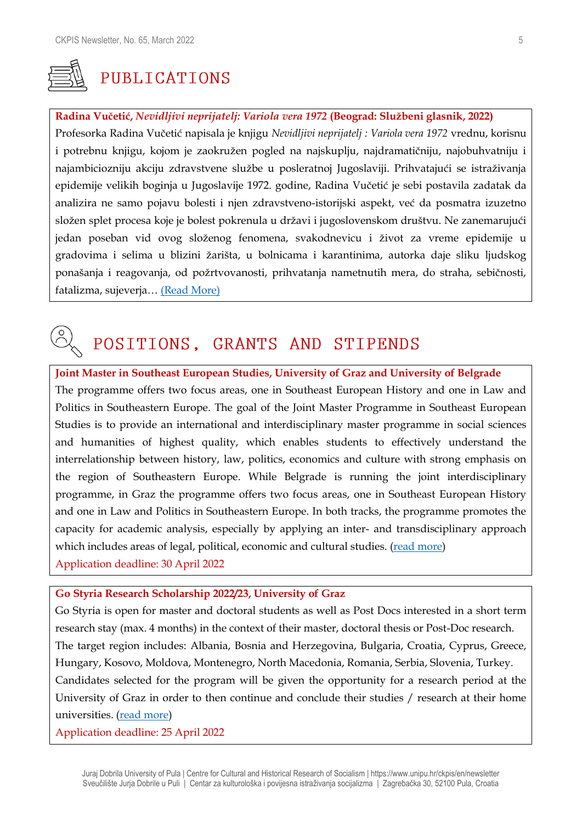

## PUBLICATIONS

#### **Radina Vučetić,** *Nevidljivi neprijatelj: Variola vera 1972* **(Beograd: Službeni glasnik, 2022)**

Profesorka Radina Vučetić napisala je knjigu *Nevidljivi neprijatelj : Variola vera 1972* vrednu, korisnu i potrebnu knjigu, kojom je zaokružen pogled na najskuplju, najdramatičniju, najobuhvatniju i najambiciozniju akciju zdravstvene službe u posleratnoj Jugoslaviji. Prihvatajući se istraživanja epidemije velikih boginja u Jugoslavije 1972. godine, Radina Vučetić je sebi postavila zadatak da analizira ne samo pojavu bolesti i njen zdravstveno-istorijski aspekt, već da posmatra izuzetno složen splet procesa koje je bolest pokrenula u državi i jugoslovenskom društvu. Ne zanemarujući jedan poseban vid ovog složenog fenomena, svakodnevicu i život za vreme epidemije u gradovima i selima u blizini žarišta, u bolnicama i karantinima, autorka daje sliku ljudskog ponašanja i reagovanja, od požrtvovanosti, prihvatanja nametnutih mera, do straha, sebičnosti, fatalizma, sujeverja… [\(Read More\)](http://www.slglasnik.com/%D0%B3%D0%BB%D0%B0%D1%81%D0%BD%D0%B8%D0%BA-%D0%BF%D1%80%D0%B5%D0%BF%D0%BE%D1%80%D1%83%D1%87%D1%83%D1%98%D0%B5/%D0%BD%D0%B5%D0%B2%D0%B8%D0%B4%D1%99%D0%B8%D0%B2%D0%B8-%D0%BD%D0%B5%D0%BF%D1%80%D0%B8%D1%98%D0%B0%D1%82%D0%B5%D1%99)

## POSITIONS, GRANTS AND STIPENDS

**Joint Master in Southeast European Studies, University of Graz and University of Belgrade** The programme offers two focus areas, one in Southeast European History and one in Law and Politics in Southeastern Europe. The goal of the Joint Master Programme in Southeast European Studies is to provide an international and interdisciplinary master programme in social sciences and humanities of highest quality, which enables students to effectively understand the interrelationship between history, law, politics, economics and culture with strong emphasis on the region of Southeastern Europe. While Belgrade is running the joint interdisciplinary programme, in Graz the programme offers two focus areas, one in Southeast European History and one in Law and Politics in Southeastern Europe. In both tracks, the programme promotes the capacity for academic analysis, especially by applying an inter- and transdisciplinary approach which includes areas of legal, political, economic and cultural studies. [\(read more\)](https://www.jointdegree.eu/de/masees/application-selection/how-to-apply/) Application deadline: 30 April 2022

#### **Go Styria Research Scholarship 2022/23, University of Graz**

Go Styria is open for master and doctoral students as well as Post Docs interested in a short term research stay (max. 4 months) in the context of their master, doctoral thesis or Post-Doc research. The target region includes: Albania, Bosnia and Herzegovina, Bulgaria, Croatia, Cyprus, Greece, Hungary, Kosovo, Moldova, Montenegro, North Macedonia, Romania, Serbia, Slovenia, Turkey. Candidates selected for the program will be given the opportunity for a research period at the University of Graz in order to then continue and conclude their studies / research at their home universities. [\(read more\)](https://international.uni-graz.at/en/incoming-exchange/go-styria-scholarship-programme/)

Application deadline: 25 April 2022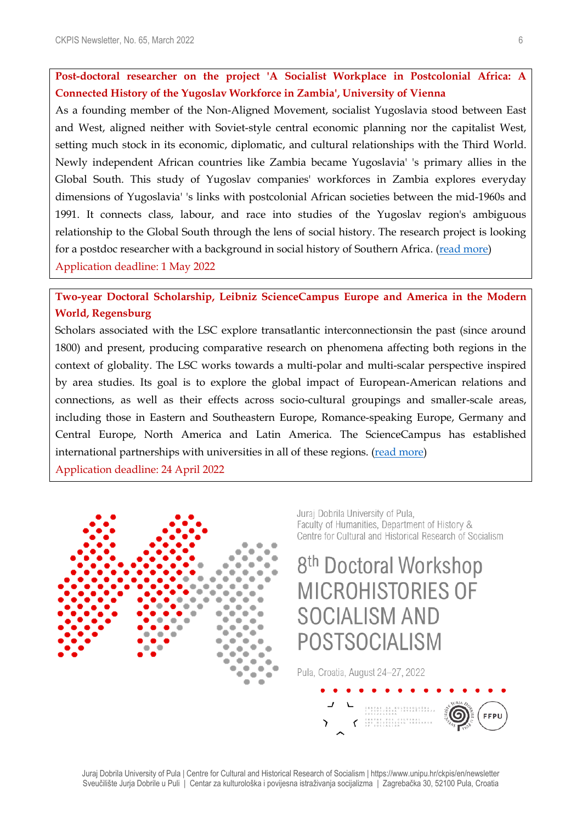**Post-doctoral researcher on the project 'A Socialist Workplace in Postcolonial Africa: A Connected History of the Yugoslav Workforce in Zambia', University of Vienna**

As a founding member of the Non-Aligned Movement, socialist Yugoslavia stood between East and West, aligned neither with Soviet-style central economic planning nor the capitalist West, setting much stock in its economic, diplomatic, and cultural relationships with the Third World. Newly independent African countries like Zambia became Yugoslavia' 's primary allies in the Global South. This study of Yugoslav companies' workforces in Zambia explores everyday dimensions of Yugoslavia' 's links with postcolonial African societies between the mid-1960s and 1991. It connects class, labour, and race into studies of the Yugoslav region's ambiguous relationship to the Global South through the lens of social history. The research project is looking for a postdoc researcher with a background in social history of Southern Africa. [\(read more\)](https://transformations.univie.ac.at/news/ausschreibungen/?fbclid=IwAR3J6DfxEdFcBZQV2dgCud-2TITZxFJbbTQQNN-F42eEefrn1PWvQMvupi8) Application deadline: 1 May 2022

## **Two-year Doctoral Scholarship, Leibniz ScienceCampus Europe and America in the Modern World, Regensburg**

Scholars associated with the LSC explore transatlantic interconnectionsin the past (since around 1800) and present, producing comparative research on phenomena affecting both regions in the context of globality. The LSC works towards a multi-polar and multi-scalar perspective inspired by area studies. Its goal is to explore the global impact of European-American relations and connections, as well as their effects across socio-cultural groupings and smaller-scale areas, including those in Eastern and Southeastern Europe, Romance-speaking Europe, Germany and Central Europe, North America and Latin America. The ScienceCampus has established international partnerships with universities in all of these regions. [\(read more\)](https://www.ios-regensburg.de/fileadmin/doc/ausschreibungen/2022/2022_03_24_Doctoral_Fellowship_2_Year_CfA_EuropeAmerica_EN.pdf) Application deadline: 24 April 2022



Jurai Dobrila University of Pula. Faculty of Humanities, Department of History & Centre for Cultural and Historical Research of Socialism

## 8<sup>th</sup> Doctoral Workshop **MICROHISTORIES OF SOCIALISM AND** POSTSOCIALISM

Pula, Croatia, August 24-27, 2022

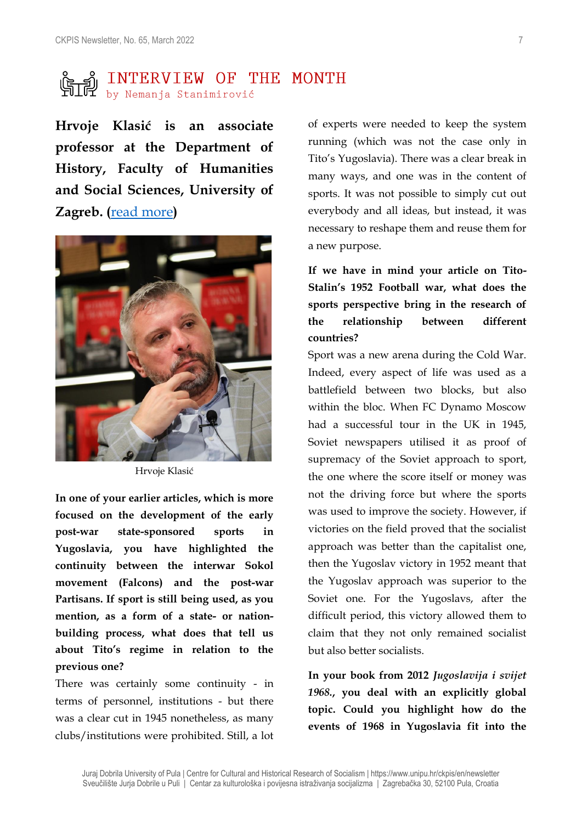# **SECUTERVIEW OF THE MONTH**<br>FILEY by Nemanja Stanimirović

**Hrvoje Klasić is an associate professor at the Department of History, Faculty of Humanities and Social Sciences, University of Zagreb. (**[read more](https://theta.ffzg.hr/ECTS/Osoba/Index/3906)**)**



Hrvoje Klasić

**In one of your earlier articles, which is more focused on the development of the early post-war state-sponsored sports in Yugoslavia, you have highlighted the continuity between the interwar Sokol movement (Falcons) and the post-war Partisans. If sport is still being used, as you mention, as a form of a state- or nationbuilding process, what does that tell us about Tito's regime in relation to the previous one?**

There was certainly some continuity - in terms of personnel, institutions - but there was a clear cut in 1945 nonetheless, as many clubs/institutions were prohibited. Still, a lot of experts were needed to keep the system running (which was not the case only in Tito's Yugoslavia). There was a clear break in many ways, and one was in the content of sports. It was not possible to simply cut out everybody and all ideas, but instead, it was necessary to reshape them and reuse them for a new purpose.

**If we have in mind your article on Tito-Stalin's 1952 Football war, what does the sports perspective bring in the research of the relationship between different countries?**

Sport was a new arena during the Cold War. Indeed, every aspect of life was used as a battlefield between two blocks, but also within the bloc. When FC Dynamo Moscow had a successful tour in the UK in 1945, Soviet newspapers utilised it as proof of supremacy of the Soviet approach to sport, the one where the score itself or money was not the driving force but where the sports was used to improve the society. However, if victories on the field proved that the socialist approach was better than the capitalist one, then the Yugoslav victory in 1952 meant that the Yugoslav approach was superior to the Soviet one. For the Yugoslavs, after the difficult period, this victory allowed them to claim that they not only remained socialist but also better socialists.

**In your book from 2012** *Jugoslavija i svijet 1968.***, you deal with an explicitly global topic. Could you highlight how do the events of 1968 in Yugoslavia fit into the**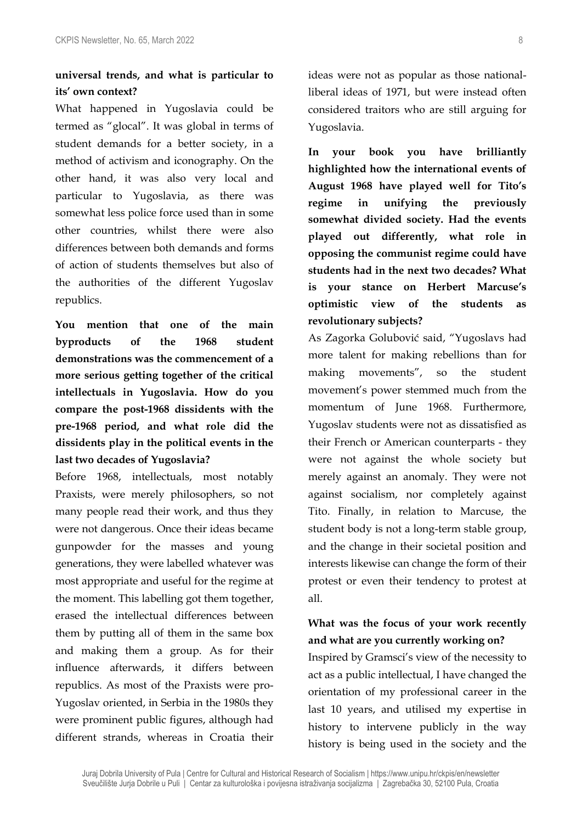## **universal trends, and what is particular to its' own context?**

What happened in Yugoslavia could be termed as "glocal". It was global in terms of student demands for a better society, in a method of activism and iconography. On the other hand, it was also very local and particular to Yugoslavia, as there was somewhat less police force used than in some other countries, whilst there were also differences between both demands and forms of action of students themselves but also of the authorities of the different Yugoslav republics.

**You mention that one of the main byproducts of the 1968 student demonstrations was the commencement of a more serious getting together of the critical intellectuals in Yugoslavia. How do you compare the post-1968 dissidents with the pre-1968 period, and what role did the dissidents play in the political events in the last two decades of Yugoslavia?**

Before 1968, intellectuals, most notably Praxists, were merely philosophers, so not many people read their work, and thus they were not dangerous. Once their ideas became gunpowder for the masses and young generations, they were labelled whatever was most appropriate and useful for the regime at the moment. This labelling got them together, erased the intellectual differences between them by putting all of them in the same box and making them a group. As for their influence afterwards, it differs between republics. As most of the Praxists were pro-Yugoslav oriented, in Serbia in the 1980s they were prominent public figures, although had different strands, whereas in Croatia their ideas were not as popular as those nationalliberal ideas of 1971, but were instead often considered traitors who are still arguing for Yugoslavia.

**In your book you have brilliantly highlighted how the international events of August 1968 have played well for Tito's regime in unifying the previously somewhat divided society. Had the events played out differently, what role in opposing the communist regime could have students had in the next two decades? What is your stance on Herbert Marcuse's optimistic view of the students as revolutionary subjects?**

As Zagorka Golubović said, "Yugoslavs had more talent for making rebellions than for making movements", so the student movement's power stemmed much from the momentum of June 1968. Furthermore, Yugoslav students were not as dissatisfied as their French or American counterparts - they were not against the whole society but merely against an anomaly. They were not against socialism, nor completely against Tito. Finally, in relation to Marcuse, the student body is not a long-term stable group, and the change in their societal position and interests likewise can change the form of their protest or even their tendency to protest at all.

## **What was the focus of your work recently and what are you currently working on?**

Inspired by Gramsci's view of the necessity to act as a public intellectual, I have changed the orientation of my professional career in the last 10 years, and utilised my expertise in history to intervene publicly in the way history is being used in the society and the